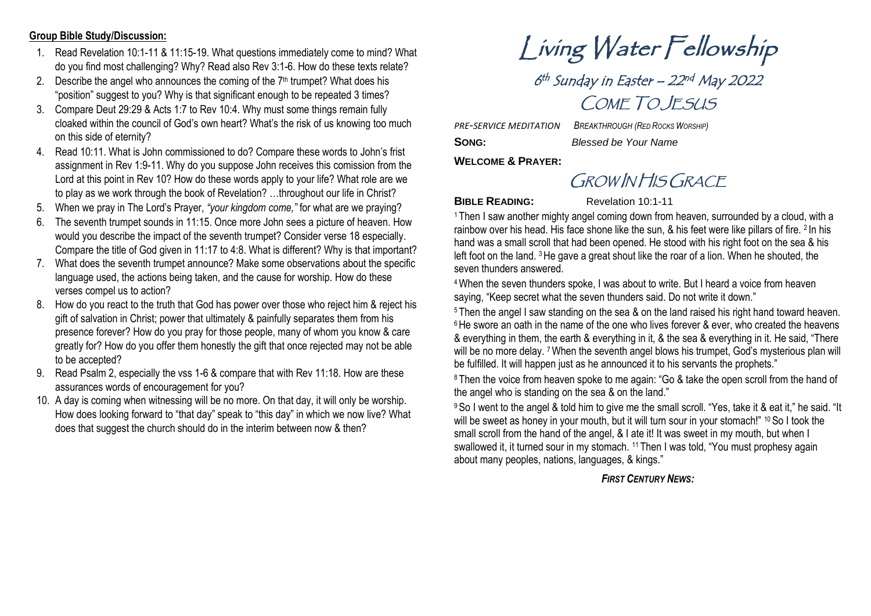## **Group Bible Study/Discussion:**

- 1. Read Revelation 10:1-11 & 11:15-19. What questions immediately come to mind? What do you find most challenging? Why? Read also Rev 3:1-6. How do these texts relate?
- 2. Describe the angel who announces the coming of the  $7<sup>th</sup>$  trumpet? What does his "position" suggest to you? Why is that significant enough to be repeated 3 times?
- 3. Compare Deut 29:29 & Acts 1:7 to Rev 10:4. Why must some things remain fully cloaked within the council of God's own heart? What's the risk of us knowing too much on this side of eternity?
- 4. Read 10:11. What is John commissioned to do? Compare these words to John's frist assignment in Rev 1:9-11. Why do you suppose John receives this comission from the Lord at this point in Rev 10? How do these words apply to your life? What role are we to play as we work through the book of Revelation? …throughout our life in Christ?
- 5. When we pray in The Lord's Prayer, *"your kingdom come,"* for what are we praying?
- 6. The seventh trumpet sounds in 11:15. Once more John sees a picture of heaven. How would you describe the impact of the seventh trumpet? Consider verse 18 especially. Compare the title of God given in 11:17 to 4:8. What is different? Why is that important?
- 7. What does the seventh trumpet announce? Make some observations about the specific language used, the actions being taken, and the cause for worship. How do these verses compel us to action?
- 8. How do you react to the truth that God has power over those who reject him & reject his gift of salvation in Christ; power that ultimately & painfully separates them from his presence forever? How do you pray for those people, many of whom you know & care greatly for? How do you offer them honestly the gift that once rejected may not be able to be accepted?
- 9. Read Psalm 2, especially the vss 1-6 & compare that with Rev 11:18. How are these assurances words of encouragement for you?
- 10. A day is coming when witnessing will be no more. On that day, it will only be worship. How does looking forward to "that day" speak to "this day" in which we now live? What does that suggest the church should do in the interim between now & then?

Living Water Fellowship

6<sup>th</sup> Sunday in Easter – 22<sup>nd</sup> May 2022 COME TO JESUS

*PRE-SERVICE MEDITATION BREAKTHROUGH (RED ROCKS WORSHIP)* **SONG:** *Blessed be Your Name*

**WELCOME & PRAYER:**

GROW IN HIS GRACE

**BIBLE READING:** Revelation 10:1-11

<sup>1</sup> Then I saw another mighty angel coming down from heaven, surrounded by a cloud, with a rainbow over his head. His face shone like the sun, & his feet were like pillars of fire. <sup>2</sup> In his hand was a small scroll that had been opened. He stood with his right foot on the sea & his left foot on the land. <sup>3</sup>He gave a great shout like the roar of a lion. When he shouted, the seven thunders answered.

<sup>4</sup>When the seven thunders spoke, I was about to write. But I heard a voice from heaven saying, "Keep secret what the seven thunders said. Do not write it down."

<sup>5</sup> Then the angel I saw standing on the sea & on the land raised his right hand toward heaven.  $6$  He swore an oath in the name of the one who lives forever  $\&$  ever, who created the heavens & everything in them, the earth & everything in it, & the sea & everything in it. He said, "There will be no more delay. <sup>7</sup>When the seventh angel blows his trumpet, God's mysterious plan will be fulfilled. It will happen just as he announced it to his servants the prophets."

<sup>8</sup> Then the voice from heaven spoke to me again: "Go & take the open scroll from the hand of the angel who is standing on the sea & on the land."

<sup>9</sup>So I went to the angel & told him to give me the small scroll. "Yes, take it & eat it," he said. "It will be sweet as honey in your mouth, but it will turn sour in your stomach!" 10 So I took the small scroll from the hand of the angel, & I ate it! It was sweet in my mouth, but when I swallowed it, it turned sour in my stomach. <sup>11</sup> Then I was told, "You must prophesy again about many peoples, nations, languages, & kings."

## *FIRST CENTURY NEWS:*